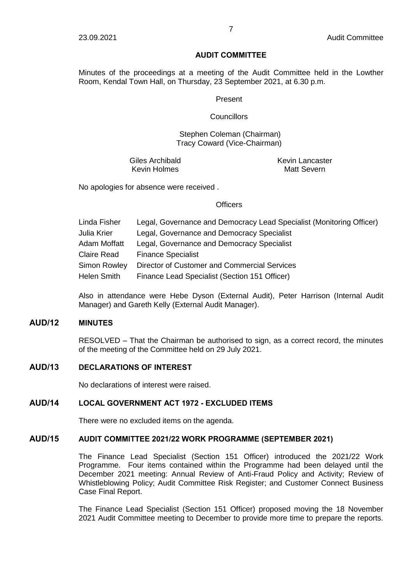#### **AUDIT COMMITTEE**

Minutes of the proceedings at a meeting of the Audit Committee held in the Lowther Room, Kendal Town Hall, on Thursday, 23 September 2021, at 6.30 p.m.

#### Present

#### **Councillors**

### Stephen Coleman (Chairman) Tracy Coward (Vice-Chairman)

Giles Archibald Kevin Holmes

Kevin Lancaster Matt Severn

No apologies for absence were received .

#### **Officers**

| Linda Fisher | Legal, Governance and Democracy Lead Specialist (Monitoring Officer) |
|--------------|----------------------------------------------------------------------|
| Julia Krier  | Legal, Governance and Democracy Specialist                           |
| Adam Moffatt | Legal, Governance and Democracy Specialist                           |
| Claire Read  | <b>Finance Specialist</b>                                            |
| Simon Rowley | Director of Customer and Commercial Services                         |
| Helen Smith  | Finance Lead Specialist (Section 151 Officer)                        |
|              |                                                                      |

Also in attendance were Hebe Dyson (External Audit), Peter Harrison (Internal Audit Manager) and Gareth Kelly (External Audit Manager).

# **AUD/12 MINUTES**

RESOLVED – That the Chairman be authorised to sign, as a correct record, the minutes of the meeting of the Committee held on 29 July 2021.

# **AUD/13 DECLARATIONS OF INTEREST**

No declarations of interest were raised.

# **AUD/14 LOCAL GOVERNMENT ACT 1972 - EXCLUDED ITEMS**

There were no excluded items on the agenda.

### **AUD/15 AUDIT COMMITTEE 2021/22 WORK PROGRAMME (SEPTEMBER 2021)**

The Finance Lead Specialist (Section 151 Officer) introduced the 2021/22 Work Programme. Four items contained within the Programme had been delayed until the December 2021 meeting: Annual Review of Anti-Fraud Policy and Activity; Review of Whistleblowing Policy; Audit Committee Risk Register; and Customer Connect Business Case Final Report.

The Finance Lead Specialist (Section 151 Officer) proposed moving the 18 November 2021 Audit Committee meeting to December to provide more time to prepare the reports.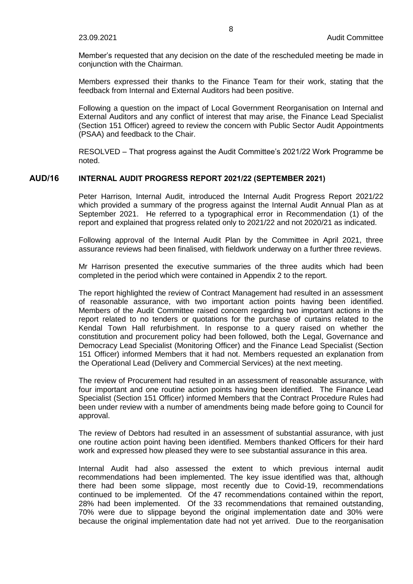Member's requested that any decision on the date of the rescheduled meeting be made in conjunction with the Chairman.

Members expressed their thanks to the Finance Team for their work, stating that the feedback from Internal and External Auditors had been positive.

Following a question on the impact of Local Government Reorganisation on Internal and External Auditors and any conflict of interest that may arise, the Finance Lead Specialist (Section 151 Officer) agreed to review the concern with Public Sector Audit Appointments (PSAA) and feedback to the Chair.

RESOLVED – That progress against the Audit Committee's 2021/22 Work Programme be noted.

# **AUD/16 INTERNAL AUDIT PROGRESS REPORT 2021/22 (SEPTEMBER 2021)**

Peter Harrison, Internal Audit, introduced the Internal Audit Progress Report 2021/22 which provided a summary of the progress against the Internal Audit Annual Plan as at September 2021. He referred to a typographical error in Recommendation (1) of the report and explained that progress related only to 2021/22 and not 2020/21 as indicated.

Following approval of the Internal Audit Plan by the Committee in April 2021, three assurance reviews had been finalised, with fieldwork underway on a further three reviews.

Mr Harrison presented the executive summaries of the three audits which had been completed in the period which were contained in Appendix 2 to the report.

The report highlighted the review of Contract Management had resulted in an assessment of reasonable assurance, with two important action points having been identified. Members of the Audit Committee raised concern regarding two important actions in the report related to no tenders or quotations for the purchase of curtains related to the Kendal Town Hall refurbishment. In response to a query raised on whether the constitution and procurement policy had been followed, both the Legal, Governance and Democracy Lead Specialist (Monitoring Officer) and the Finance Lead Specialist (Section 151 Officer) informed Members that it had not. Members requested an explanation from the Operational Lead (Delivery and Commercial Services) at the next meeting.

The review of Procurement had resulted in an assessment of reasonable assurance, with four important and one routine action points having been identified. The Finance Lead Specialist (Section 151 Officer) informed Members that the Contract Procedure Rules had been under review with a number of amendments being made before going to Council for approval.

The review of Debtors had resulted in an assessment of substantial assurance, with just one routine action point having been identified. Members thanked Officers for their hard work and expressed how pleased they were to see substantial assurance in this area.

Internal Audit had also assessed the extent to which previous internal audit recommendations had been implemented. The key issue identified was that, although there had been some slippage, most recently due to Covid-19, recommendations continued to be implemented. Of the 47 recommendations contained within the report, 28% had been implemented. Of the 33 recommendations that remained outstanding, 70% were due to slippage beyond the original implementation date and 30% were because the original implementation date had not yet arrived. Due to the reorganisation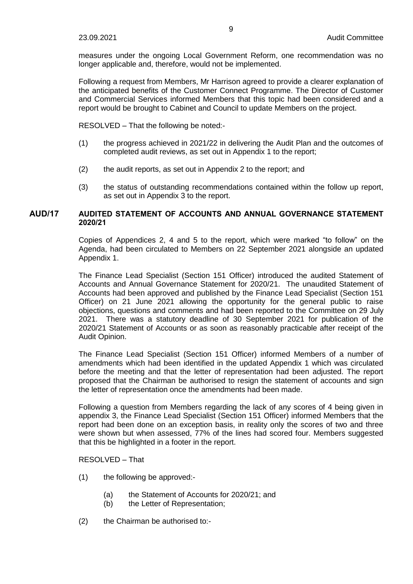measures under the ongoing Local Government Reform, one recommendation was no longer applicable and, therefore, would not be implemented.

Following a request from Members, Mr Harrison agreed to provide a clearer explanation of the anticipated benefits of the Customer Connect Programme. The Director of Customer and Commercial Services informed Members that this topic had been considered and a report would be brought to Cabinet and Council to update Members on the project.

RESOLVED – That the following be noted:-

- (1) the progress achieved in 2021/22 in delivering the Audit Plan and the outcomes of completed audit reviews, as set out in Appendix 1 to the report;
- (2) the audit reports, as set out in Appendix 2 to the report; and
- (3) the status of outstanding recommendations contained within the follow up report, as set out in Appendix 3 to the report.

# **AUD/17 AUDITED STATEMENT OF ACCOUNTS AND ANNUAL GOVERNANCE STATEMENT 2020/21**

Copies of Appendices 2, 4 and 5 to the report, which were marked "to follow" on the Agenda, had been circulated to Members on 22 September 2021 alongside an updated Appendix 1.

The Finance Lead Specialist (Section 151 Officer) introduced the audited Statement of Accounts and Annual Governance Statement for 2020/21. The unaudited Statement of Accounts had been approved and published by the Finance Lead Specialist (Section 151 Officer) on 21 June 2021 allowing the opportunity for the general public to raise objections, questions and comments and had been reported to the Committee on 29 July 2021. There was a statutory deadline of 30 September 2021 for publication of the 2020/21 Statement of Accounts or as soon as reasonably practicable after receipt of the Audit Opinion.

The Finance Lead Specialist (Section 151 Officer) informed Members of a number of amendments which had been identified in the updated Appendix 1 which was circulated before the meeting and that the letter of representation had been adjusted. The report proposed that the Chairman be authorised to resign the statement of accounts and sign the letter of representation once the amendments had been made.

Following a question from Members regarding the lack of any scores of 4 being given in appendix 3, the Finance Lead Specialist (Section 151 Officer) informed Members that the report had been done on an exception basis, in reality only the scores of two and three were shown but when assessed, 77% of the lines had scored four. Members suggested that this be highlighted in a footer in the report.

# RESOLVED – That

- (1) the following be approved:-
	- (a) the Statement of Accounts for 2020/21; and
	- (b) the Letter of Representation;
- (2) the Chairman be authorised to:-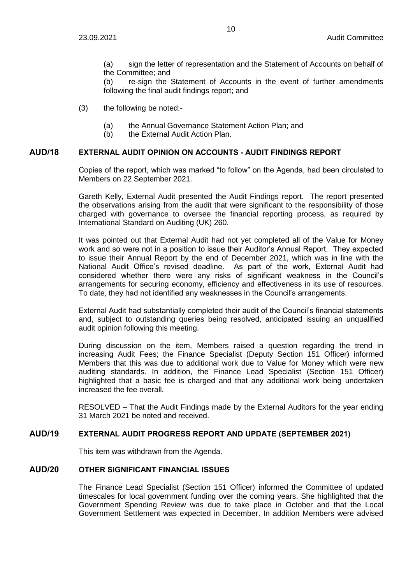(a) sign the letter of representation and the Statement of Accounts on behalf of the Committee; and

(b) re-sign the Statement of Accounts in the event of further amendments following the final audit findings report; and

- (3) the following be noted:-
	- (a) the Annual Governance Statement Action Plan; and
	- (b) the External Audit Action Plan.

# **AUD/18 EXTERNAL AUDIT OPINION ON ACCOUNTS - AUDIT FINDINGS REPORT**

Copies of the report, which was marked "to follow" on the Agenda, had been circulated to Members on 22 September 2021.

Gareth Kelly, External Audit presented the Audit Findings report. The report presented the observations arising from the audit that were significant to the responsibility of those charged with governance to oversee the financial reporting process, as required by International Standard on Auditing (UK) 260.

It was pointed out that External Audit had not yet completed all of the Value for Money work and so were not in a position to issue their Auditor's Annual Report. They expected to issue their Annual Report by the end of December 2021, which was in line with the National Audit Office's revised deadline. As part of the work, External Audit had considered whether there were any risks of significant weakness in the Council's arrangements for securing economy, efficiency and effectiveness in its use of resources. To date, they had not identified any weaknesses in the Council's arrangements.

External Audit had substantially completed their audit of the Council's financial statements and, subject to outstanding queries being resolved, anticipated issuing an unqualified audit opinion following this meeting.

During discussion on the item, Members raised a question regarding the trend in increasing Audit Fees; the Finance Specialist (Deputy Section 151 Officer) informed Members that this was due to additional work due to Value for Money which were new auditing standards. In addition, the Finance Lead Specialist (Section 151 Officer) highlighted that a basic fee is charged and that any additional work being undertaken increased the fee overall.

RESOLVED – That the Audit Findings made by the External Auditors for the year ending 31 March 2021 be noted and received.

# **AUD/19 EXTERNAL AUDIT PROGRESS REPORT AND UPDATE (SEPTEMBER 2021)**

This item was withdrawn from the Agenda.

#### **AUD/20 OTHER SIGNIFICANT FINANCIAL ISSUES**

The Finance Lead Specialist (Section 151 Officer) informed the Committee of updated timescales for local government funding over the coming years. She highlighted that the Government Spending Review was due to take place in October and that the Local Government Settlement was expected in December. In addition Members were advised